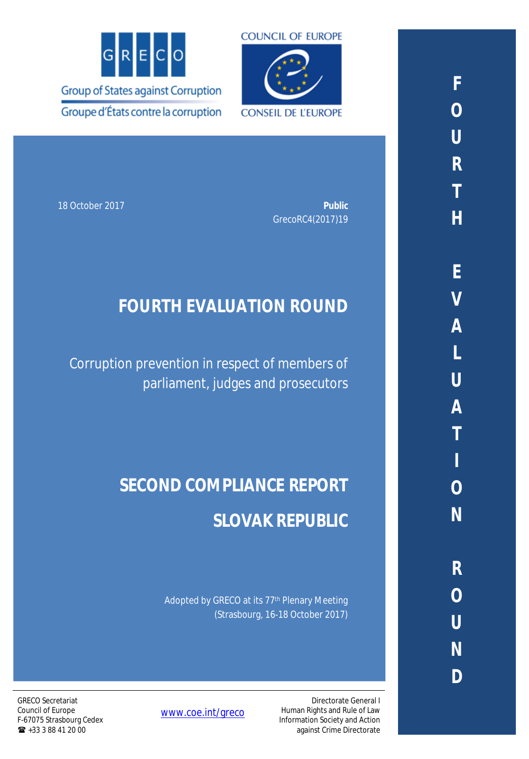



18 October 2017 **Public** GrecoRC4(2017)19

# **FOURTH EVALUATION ROUND**

Corruption prevention in respect of members of parliament, judges and prosecutors

# **SECOND COMPLIANCE REPORT SLOVAK REPUBLIC**

Adopted by GRECO at its 77<sup>th</sup> Plenary Meeting (Strasbourg, 16-18 October 2017)

GRECO Secretariat Council of Europe F-67075 Strasbourg Cedex  $\bullet$  +33 3 88 41 20 00

[www.coe.int/greco](http://www.coe.int/greco)

Directorate General I Human Rights and Rule of Law Information Society and Action against Crime Directorate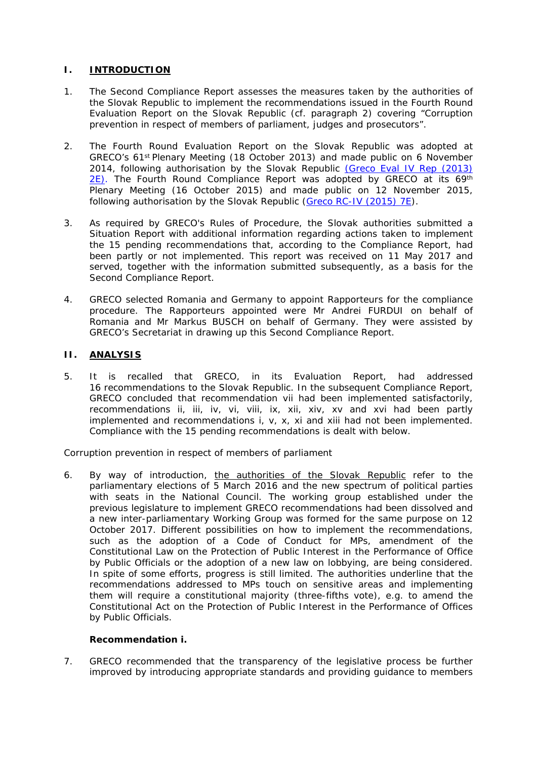### **I. INTRODUCTION**

- 1. The Second Compliance Report assesses the measures taken by the authorities of the Slovak Republic to implement the recommendations issued in the Fourth Round Evaluation Report on the Slovak Republic (cf. paragraph 2) covering "Corruption prevention in respect of members of parliament, judges and prosecutors".
- 2. The Fourth Round Evaluation Report on the Slovak Republic was adopted at GRECO's 61st Plenary Meeting (18 October 2013) and made public on 6 November 2014, following authorisation by the Slovak Republic [\(Greco Eval IV Rep \(2013\)](https://rm.coe.int/16806ca488)   $2E$ ). The Fourth Round Compliance Report was adopted by GRECO at its 69<sup>th</sup> Plenary Meeting (16 October 2015) and made public on 12 November 2015, following authorisation by the Slovak Republic ([Greco RC-IV \(2015\) 7E](https://rm.coe.int/16806ca50e)).
- 3. As required by GRECO's Rules of Procedure, the Slovak authorities submitted a Situation Report with additional information regarding actions taken to implement the 15 pending recommendations that, according to the Compliance Report, had been partly or not implemented. This report was received on 11 May 2017 and served, together with the information submitted subsequently, as a basis for the Second Compliance Report.
- 4. GRECO selected Romania and Germany to appoint Rapporteurs for the compliance procedure. The Rapporteurs appointed were Mr Andrei FURDUI on behalf of Romania and Mr Markus BUSCH on behalf of Germany. They were assisted by GRECO's Secretariat in drawing up this Second Compliance Report.

#### **II. ANALYSIS**

5. It is recalled that GRECO, in its Evaluation Report, had addressed 16 recommendations to the Slovak Republic. In the subsequent Compliance Report, GRECO concluded that recommendation vii had been implemented satisfactorily, recommendations ii, iii, iv, vi, viii, ix, xii, xiv, xv and xvi had been partly implemented and recommendations i, v, x, xi and xiii had not been implemented. Compliance with the 15 pending recommendations is dealt with below.

*Corruption prevention in respect of members of parliament*

6. By way of introduction, the authorities of the Slovak Republic refer to the parliamentary elections of 5 March 2016 and the new spectrum of political parties with seats in the National Council. The working group established under the previous legislature to implement GRECO recommendations had been dissolved and a new inter-parliamentary Working Group was formed for the same purpose on 12 October 2017. Different possibilities on how to implement the recommendations, such as the adoption of a Code of Conduct for MPs, amendment of the Constitutional Law on the Protection of Public Interest in the Performance of Office by Public Officials or the adoption of a new law on lobbying, are being considered. In spite of some efforts, progress is still limited. The authorities underline that the recommendations addressed to MPs touch on sensitive areas and implementing them will require a constitutional majority (three-fifths vote), e.g. to amend the Constitutional Act on the Protection of Public Interest in the Performance of Offices by Public Officials.

#### **Recommendation i.**

7. *GRECO recommended that the transparency of the legislative process be further improved by introducing appropriate standards and providing guidance to members*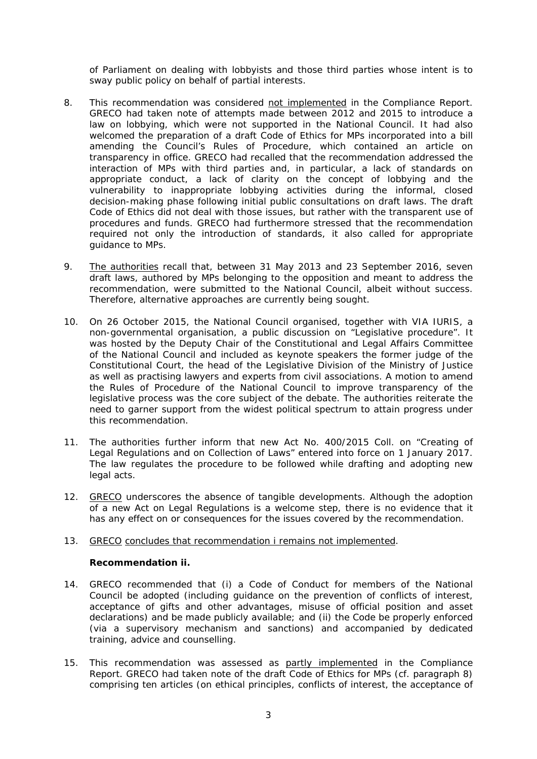*of Parliament on dealing with lobbyists and those third parties whose intent is to sway public policy on behalf of partial interests.* 

- 8. This recommendation was considered not implemented in the Compliance Report. GRECO had taken note of attempts made between 2012 and 2015 to introduce a law on lobbying, which were not supported in the National Council. It had also welcomed the preparation of a draft Code of Ethics for MPs incorporated into a bill amending the Council's Rules of Procedure, which contained an article on transparency in office. GRECO had recalled that the recommendation addressed the interaction of MPs with third parties and, in particular, a lack of standards on appropriate conduct, a lack of clarity on the concept of lobbying and the vulnerability to inappropriate lobbying activities during the informal, closed decision-making phase following initial public consultations on draft laws. The draft Code of Ethics did not deal with those issues, but rather with the transparent use of procedures and funds. GRECO had furthermore stressed that the recommendation required not only the introduction of standards, it also called for appropriate guidance to MPs.
- 9. The authorities recall that, between 31 May 2013 and 23 September 2016, seven draft laws, authored by MPs belonging to the opposition and meant to address the recommendation, were submitted to the National Council, albeit without success. Therefore, alternative approaches are currently being sought.
- 10. On 26 October 2015, the National Council organised, together with VIA IURIS, a non-governmental organisation, a public discussion on "Legislative procedure". It was hosted by the Deputy Chair of the Constitutional and Legal Affairs Committee of the National Council and included as keynote speakers the former judge of the Constitutional Court, the head of the Legislative Division of the Ministry of Justice as well as practising lawyers and experts from civil associations. A motion to amend the Rules of Procedure of the National Council to improve transparency of the legislative process was the core subject of the debate. The authorities reiterate the need to garner support from the widest political spectrum to attain progress under this recommendation.
- 11. The authorities further inform that new Act No. 400/2015 Coll. on "Creating of Legal Regulations and on Collection of Laws" entered into force on 1 January 2017. The law regulates the procedure to be followed while drafting and adopting new legal acts.
- 12. GRECO underscores the absence of tangible developments. Although the adoption of a new Act on Legal Regulations is a welcome step, there is no evidence that it has any effect on or consequences for the issues covered by the recommendation.

#### 13. GRECO concludes that recommendation i remains not implemented.

**Recommendation ii.**

- 14. *GRECO recommended that (i) a Code of Conduct for members of the National Council be adopted (including guidance on the prevention of conflicts of interest, acceptance of gifts and other advantages, misuse of official position and asset declarations) and be made publicly available; and (ii) the Code be properly enforced (via a supervisory mechanism and sanctions) and accompanied by dedicated training, advice and counselling.*
- 15. This recommendation was assessed as partly implemented in the Compliance Report. GRECO had taken note of the draft Code of Ethics for MPs (cf. paragraph 8) comprising ten articles (on ethical principles, conflicts of interest, the acceptance of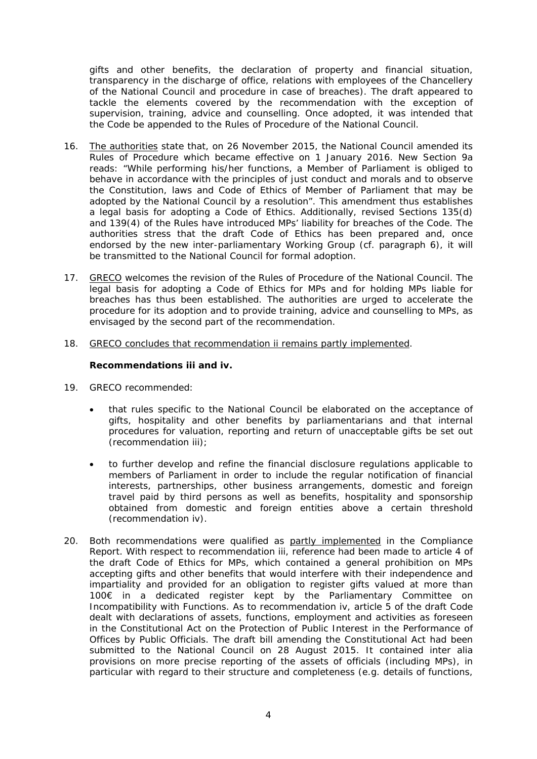gifts and other benefits, the declaration of property and financial situation, transparency in the discharge of office, relations with employees of the Chancellery of the National Council and procedure in case of breaches). The draft appeared to tackle the elements covered by the recommendation with the exception of supervision, training, advice and counselling. Once adopted, it was intended that the Code be appended to the Rules of Procedure of the National Council.

- 16. The authorities state that, on 26 November 2015, the National Council amended its Rules of Procedure which became effective on 1 January 2016. New Section 9a reads: "While performing his/her functions, a Member of Parliament is obliged to behave in accordance with the principles of just conduct and morals and to observe the Constitution, laws and Code of Ethics of Member of Parliament that may be adopted by the National Council by a resolution". This amendment thus establishes a legal basis for adopting a Code of Ethics. Additionally, revised Sections 135(d) and 139(4) of the Rules have introduced MPs' liability for breaches of the Code. The authorities stress that the draft Code of Ethics has been prepared and, once endorsed by the new inter-parliamentary Working Group (cf. paragraph 6), it will be transmitted to the National Council for formal adoption.
- 17. GRECO welcomes the revision of the Rules of Procedure of the National Council. The legal basis for adopting a Code of Ethics for MPs and for holding MPs liable for breaches has thus been established. The authorities are urged to accelerate the procedure for its adoption and to provide training, advice and counselling to MPs, as envisaged by the second part of the recommendation.
- 18. GRECO concludes that recommendation ii remains partly implemented.

**Recommendations iii and iv.**

- 19. *GRECO recommended:*
	- *that rules specific to the National Council be elaborated on the acceptance of gifts, hospitality and other benefits by parliamentarians and that internal procedures for valuation, reporting and return of unacceptable gifts be set out (recommendation iii);*
	- *to further develop and refine the financial disclosure regulations applicable to members of Parliament in order to include the regular notification of financial interests, partnerships, other business arrangements, domestic and foreign travel paid by third persons as well as benefits, hospitality and sponsorship obtained from domestic and foreign entities above a certain threshold (recommendation iv).*
- 20. Both recommendations were qualified as partly implemented in the Compliance Report. With respect to recommendation iii, reference had been made to article 4 of the draft Code of Ethics for MPs, which contained a general prohibition on MPs accepting gifts and other benefits that would interfere with their independence and impartiality and provided for an obligation to register gifts valued at more than 100€ in a dedicated register kept by the Parliamentary Committee on Incompatibility with Functions. As to recommendation iv, article 5 of the draft Code dealt with declarations of assets, functions, employment and activities as foreseen in the Constitutional Act on the Protection of Public Interest in the Performance of Offices by Public Officials. The draft bill amending the Constitutional Act had been submitted to the National Council on 28 August 2015. It contained *inter alia*  provisions on more precise reporting of the assets of officials (including MPs), in particular with regard to their structure and completeness (e.g. details of functions,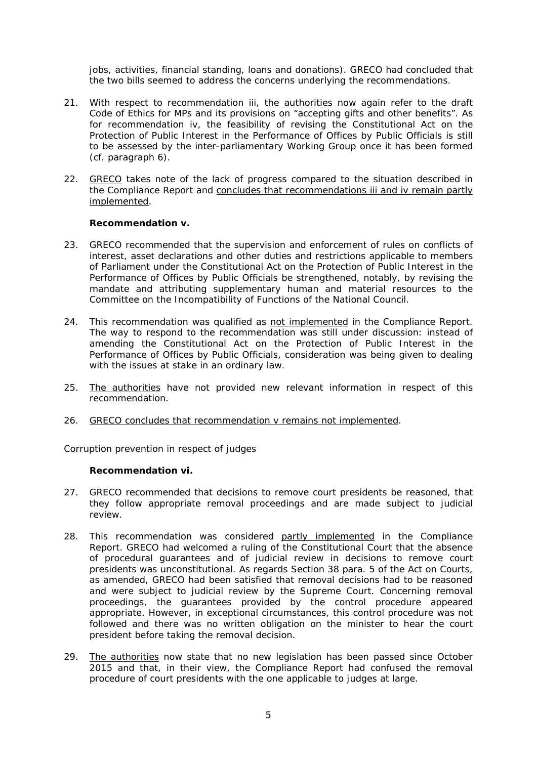jobs, activities, financial standing, loans and donations). GRECO had concluded that the two bills seemed to address the concerns underlying the recommendations.

- 21. With respect to recommendation iii, the authorities now again refer to the draft Code of Ethics for MPs and its provisions on "accepting gifts and other benefits". As for recommendation iv, the feasibility of revising the Constitutional Act on the Protection of Public Interest in the Performance of Offices by Public Officials is still to be assessed by the inter-parliamentary Working Group once it has been formed (cf. paragraph 6).
- 22. GRECO takes note of the lack of progress compared to the situation described in the Compliance Report and concludes that recommendations iii and iv remain partly implemented.

**Recommendation v.**

- 23. *GRECO recommended that the supervision and enforcement of rules on conflicts of interest, asset declarations and other duties and restrictions applicable to members of Parliament under the Constitutional Act on the Protection of Public Interest in the Performance of Offices by Public Officials be strengthened, notably, by revising the mandate and attributing supplementary human and material resources to the Committee on the Incompatibility of Functions of the National Council.*
- 24. This recommendation was qualified as not implemented in the Compliance Report. The way to respond to the recommendation was still under discussion: instead of amending the Constitutional Act on the Protection of Public Interest in the Performance of Offices by Public Officials, consideration was being given to dealing with the issues at stake in an ordinary law.
- 25. The authorities have not provided new relevant information in respect of this recommendation.
- 26. GRECO concludes that recommendation v remains not implemented.

*Corruption prevention in respect of judges*

**Recommendation vi.**

- 27. *GRECO recommended that decisions to remove court presidents be reasoned, that they follow appropriate removal proceedings and are made subject to judicial review.*
- 28. This recommendation was considered partly implemented in the Compliance Report. GRECO had welcomed a ruling of the Constitutional Court that the absence of procedural guarantees and of judicial review in decisions to remove court presidents was unconstitutional. As regards Section 38 para. 5 of the Act on Courts, as amended, GRECO had been satisfied that removal decisions had to be reasoned and were subject to judicial review by the Supreme Court. Concerning removal proceedings, the guarantees provided by the control procedure appeared appropriate. However, in exceptional circumstances, this control procedure was not followed and there was no written obligation on the minister to hear the court president before taking the removal decision.
- 29. The authorities now state that no new legislation has been passed since October 2015 and that, in their view, the Compliance Report had confused the removal procedure of court presidents with the one applicable to judges at large.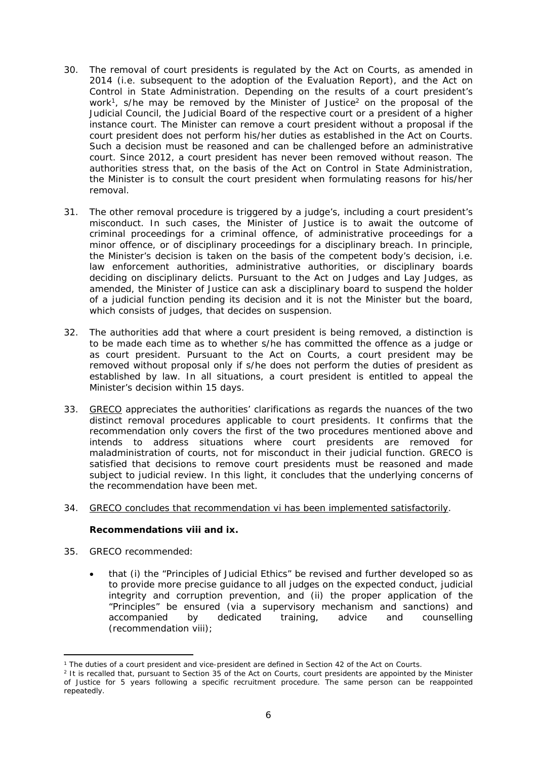- 30. The removal of court presidents is regulated by the Act on Courts, as amended in 2014 (i.e. subsequent to the adoption of the Evaluation Report), and the Act on Control in State Administration. Depending on the results of a court president's work<sup>1</sup>, s/he may be removed by the Minister of Justice<sup>2</sup> on the proposal of the Judicial Council, the Judicial Board of the respective court or a president of a higher instance court. The Minister can remove a court president without a proposal if the court president does not perform his/her duties as established in the Act on Courts. Such a decision must be reasoned and can be challenged before an administrative court. Since 2012, a court president has never been removed without reason. The authorities stress that, on the basis of the Act on Control in State Administration, the Minister is to consult the court president when formulating reasons for his/her removal.
- 31. The other removal procedure is triggered by a judge's, including a court president's misconduct. In such cases, the Minister of Justice is to await the outcome of criminal proceedings for a criminal offence, of administrative proceedings for a minor offence, or of disciplinary proceedings for a disciplinary breach. In principle, the Minister's decision is taken on the basis of the competent body's decision, i.e. law enforcement authorities, administrative authorities, or disciplinary boards deciding on disciplinary delicts. Pursuant to the Act on Judges and Lay Judges, as amended, the Minister of Justice can ask a disciplinary board to suspend the holder of a judicial function pending its decision and it is not the Minister but the board, which consists of judges, that decides on suspension.
- 32. The authorities add that where a court president is being removed, a distinction is to be made each time as to whether s/he has committed the offence as a judge or as court president. Pursuant to the Act on Courts, a court president may be removed without proposal only if s/he does not perform the duties of president as established by law. In all situations, a court president is entitled to appeal the Minister's decision within 15 days.
- 33. GRECO appreciates the authorities' clarifications as regards the nuances of the two distinct removal procedures applicable to court presidents. It confirms that the recommendation only covers the first of the two procedures mentioned above and intends to address situations where court presidents are removed for maladministration of courts, not for misconduct in their judicial function. GRECO is satisfied that decisions to remove court presidents must be reasoned and made subject to judicial review. In this light, it concludes that the underlying concerns of the recommendation have been met.
- 34. GRECO concludes that recommendation vi has been implemented satisfactorily.

**Recommendations viii and ix.**

- 35. *GRECO recommended:*
	- *that (i) the "Principles of Judicial Ethics" be revised and further developed so as to provide more precise guidance to all judges on the expected conduct, judicial integrity and corruption prevention, and (ii) the proper application of the "Principles" be ensured (via a supervisory mechanism and sanctions) and accompanied by dedicated training, advice and counselling (recommendation viii);*

<sup>1</sup> The duties of a court president and vice-president are defined in Section 42 of the Act on Courts.

<sup>2</sup> It is recalled that, pursuant to Section 35 of the Act on Courts, court presidents are appointed by the Minister of Justice for 5 years following a specific recruitment procedure. The same person can be reappointed repeatedly.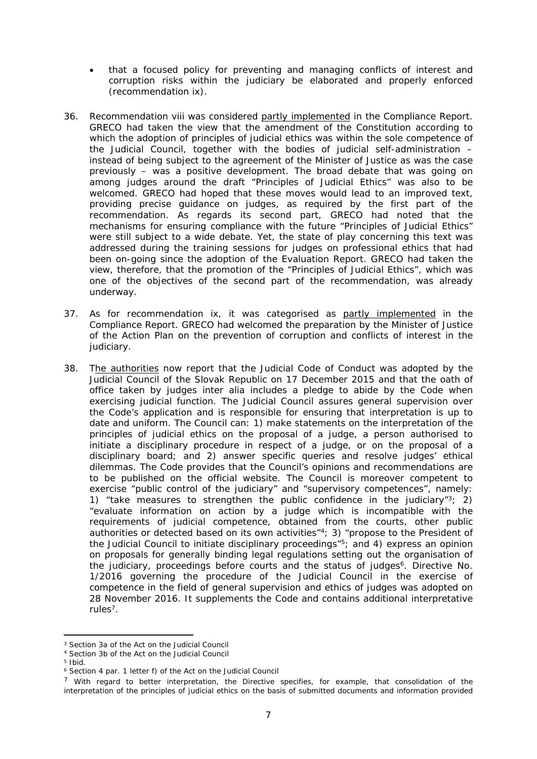- *that a focused policy for preventing and managing conflicts of interest and corruption risks within the judiciary be elaborated and properly enforced (recommendation ix).*
- 36. Recommendation viii was considered partly implemented in the Compliance Report. GRECO had taken the view that the amendment of the Constitution according to which the adoption of principles of judicial ethics was within the sole competence of the Judicial Council, together with the bodies of judicial self-administration – instead of being subject to the agreement of the Minister of Justice as was the case previously – was a positive development. The broad debate that was going on among judges around the draft "Principles of Judicial Ethics" was also to be welcomed. GRECO had hoped that these moves would lead to an improved text, providing precise guidance on judges, as required by the first part of the recommendation. As regards its second part, GRECO had noted that the mechanisms for ensuring compliance with the future "Principles of Judicial Ethics" were still subject to a wide debate. Yet, the state of play concerning this text was addressed during the training sessions for judges on professional ethics that had been on-going since the adoption of the Evaluation Report. GRECO had taken the view, therefore, that the promotion of the "Principles of Judicial Ethics", which was one of the objectives of the second part of the recommendation, was already underway.
- 37. As for recommendation ix, it was categorised as partly implemented in the Compliance Report. GRECO had welcomed the preparation by the Minister of Justice of the Action Plan on the prevention of corruption and conflicts of interest in the judiciary.
- 38. The authorities now report that the Judicial Code of Conduct was adopted by the Judicial Council of the Slovak Republic on 17 December 2015 and that the oath of office taken by judges *inter alia* includes a pledge to abide by the Code when exercising judicial function. The Judicial Council assures general supervision over the Code's application and is responsible for ensuring that interpretation is up to date and uniform. The Council can: 1) make statements on the interpretation of the principles of judicial ethics on the proposal of a judge, a person authorised to initiate a disciplinary procedure in respect of a judge, or on the proposal of a disciplinary board; and 2) answer specific queries and resolve judges' ethical dilemmas. The Code provides that the Council's opinions and recommendations are to be published on the official website. The Council is moreover competent to exercise "public control of the judiciary" and "supervisory competences", namely: 1) "take measures to strengthen the public confidence in the judiciary" $3$ ; 2) "evaluate information on action by a judge which is incompatible with the requirements of judicial competence, obtained from the courts, other public authorities or detected based on its own activities" $4$ ; 3) "propose to the President of the Judicial Council to initiate disciplinary proceedings"<sup>5</sup>; and 4) express an opinion on proposals for generally binding legal regulations setting out the organisation of the judiciary, proceedings before courts and the status of judges<sup>6</sup>. Directive No. 1/2016 governing the procedure of the Judicial Council in the exercise of competence in the field of general supervision and ethics of judges was adopted on 28 November 2016. It supplements the Code and contains additional interpretative rules<sup>7</sup>.

<sup>3</sup> Section 3a of the Act on the Judicial Council

<sup>4</sup> Section 3b of the Act on the Judicial Council

<sup>5</sup> Ibid.

<sup>6</sup> Section 4 par. 1 letter f) of the Act on the Judicial Council

<sup>7</sup> With regard to better interpretation, the Directive specifies, for example, that consolidation of the interpretation of the principles of judicial ethics on the basis of submitted documents and information provided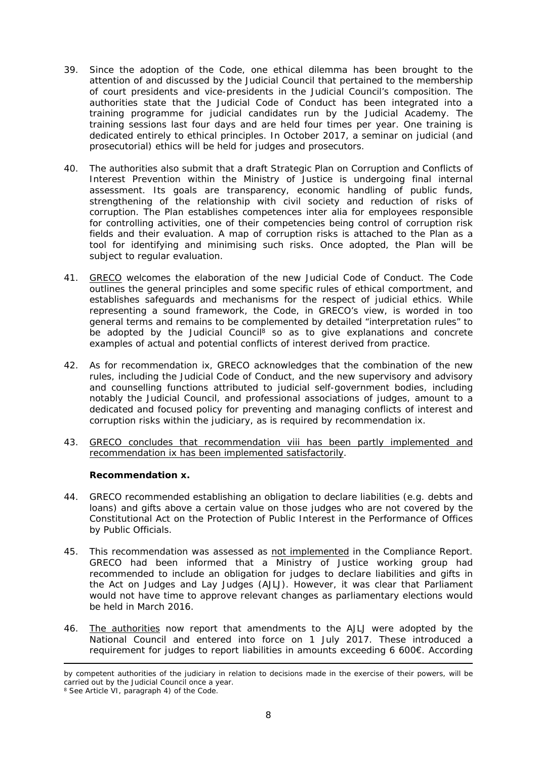- 39. Since the adoption of the Code, one ethical dilemma has been brought to the attention of and discussed by the Judicial Council that pertained to the membership of court presidents and vice-presidents in the Judicial Council's composition. The authorities state that the Judicial Code of Conduct has been integrated into a training programme for judicial candidates run by the Judicial Academy. The training sessions last four days and are held four times per year. One training is dedicated entirely to ethical principles. In October 2017, a seminar on judicial (and prosecutorial) ethics will be held for judges and prosecutors.
- 40. The authorities also submit that a draft Strategic Plan on Corruption and Conflicts of Interest Prevention within the Ministry of Justice is undergoing final internal assessment. Its goals are transparency, economic handling of public funds, strengthening of the relationship with civil society and reduction of risks of corruption. The Plan establishes competences *inter alia* for employees responsible for controlling activities, one of their competencies being control of corruption risk fields and their evaluation. A map of corruption risks is attached to the Plan as a tool for identifying and minimising such risks. Once adopted, the Plan will be subject to regular evaluation.
- 41. GRECO welcomes the elaboration of the new Judicial Code of Conduct. The Code outlines the general principles and some specific rules of ethical comportment, and establishes safeguards and mechanisms for the respect of judicial ethics. While representing a sound framework, the Code, in GRECO's view, is worded in too general terms and remains to be complemented by detailed "interpretation rules" to be adopted by the Judicial Council<sup>8</sup> so as to give explanations and concrete examples of actual and potential conflicts of interest derived from practice.
- 42. As for recommendation ix, GRECO acknowledges that the combination of the new rules, including the Judicial Code of Conduct, and the new supervisory and advisory and counselling functions attributed to judicial self-government bodies, including notably the Judicial Council, and professional associations of judges, amount to a dedicated and focused policy for preventing and managing conflicts of interest and corruption risks within the judiciary, as is required by recommendation ix.
- 43. GRECO concludes that recommendation viii has been partly implemented and recommendation ix has been implemented satisfactorily.

**Recommendation x.**

- 44. *GRECO recommended establishing an obligation to declare liabilities (e.g. debts and loans) and gifts above a certain value on those judges who are not covered by the Constitutional Act on the Protection of Public Interest in the Performance of Offices by Public Officials.*
- 45. This recommendation was assessed as not implemented in the Compliance Report. GRECO had been informed that a Ministry of Justice working group had recommended to include an obligation for judges to declare liabilities and gifts in the Act on Judges and Lay Judges (AJLJ). However, it was clear that Parliament would not have time to approve relevant changes as parliamentary elections would be held in March 2016.
- 46. The authorities now report that amendments to the AJLJ were adopted by the National Council and entered into force on 1 July 2017. These introduced a requirement for judges to report liabilities in amounts exceeding 6 600€. According

by competent authorities of the judiciary in relation to decisions made in the exercise of their powers, will be carried out by the Judicial Council once a year.

<sup>&</sup>lt;sup>8</sup> See Article VI, paragraph 4) of the Code.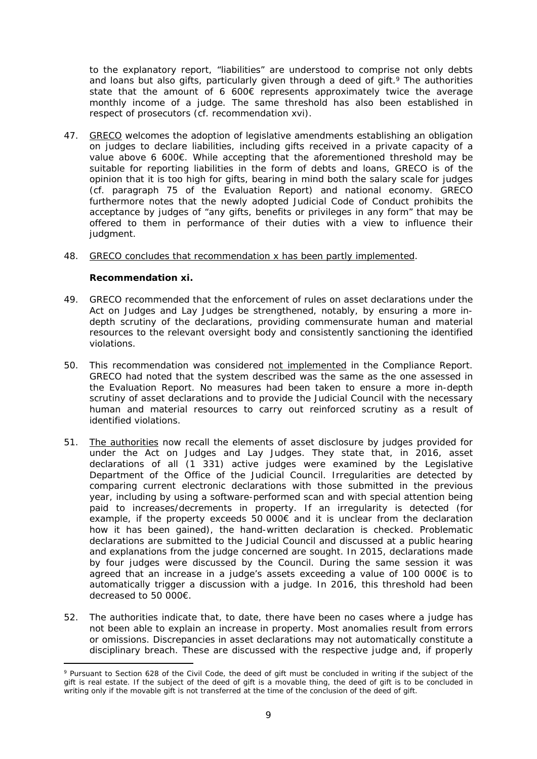to the explanatory report, "liabilities" are understood to comprise not only debts and loans but also gifts, particularly given through a deed of gift.<sup>9</sup> The authorities state that the amount of 6 600€ represents approximately twice the average monthly income of a judge. The same threshold has also been established in respect of prosecutors (cf. recommendation xvi).

- 47. GRECO welcomes the adoption of legislative amendments establishing an obligation on judges to declare liabilities, including gifts received in a private capacity of a value above 6 600€. While accepting that the aforementioned threshold may be suitable for reporting liabilities in the form of debts and loans, GRECO is of the opinion that it is too high for gifts, bearing in mind both the salary scale for judges (cf. paragraph 75 of the Evaluation Report) and national economy. GRECO furthermore notes that the newly adopted Judicial Code of Conduct prohibits the acceptance by judges of "any gifts, benefits or privileges in any form" that may be offered to them in performance of their duties with a view to influence their judgment.
- 48. GRECO concludes that recommendation x has been partly implemented.

**Recommendation xi.**

- 49. *GRECO recommended that the enforcement of rules on asset declarations under the Act on Judges and Lay Judges be strengthened, notably, by ensuring a more indepth scrutiny of the declarations, providing commensurate human and material resources to the relevant oversight body and consistently sanctioning the identified violations.*
- 50. This recommendation was considered not implemented in the Compliance Report. GRECO had noted that the system described was the same as the one assessed in the Evaluation Report. No measures had been taken to ensure a more in-depth scrutiny of asset declarations and to provide the Judicial Council with the necessary human and material resources to carry out reinforced scrutiny as a result of identified violations.
- 51. The authorities now recall the elements of asset disclosure by judges provided for under the Act on Judges and Lay Judges. They state that, in 2016, asset declarations of all (1 331) active judges were examined by the Legislative Department of the Office of the Judicial Council. Irregularities are detected by comparing current electronic declarations with those submitted in the previous year, including by using a software-performed scan and with special attention being paid to increases/decrements in property. If an irregularity is detected (for example, if the property exceeds 50 000€ and it is unclear from the declaration how it has been gained), the hand-written declaration is checked. Problematic declarations are submitted to the Judicial Council and discussed at a public hearing and explanations from the judge concerned are sought. In 2015, declarations made by four judges were discussed by the Council. During the same session it was agreed that an increase in a judge's assets exceeding a value of 100 000€ is to automatically trigger a discussion with a judge. In 2016, this threshold had been decreased to 50 000€.
- 52. The authorities indicate that, to date, there have been no cases where a judge has not been able to explain an increase in property. Most anomalies result from errors or omissions. Discrepancies in asset declarations may not automatically constitute a disciplinary breach. These are discussed with the respective judge and, if properly

<sup>&</sup>lt;sup>9</sup> Pursuant to Section 628 of the Civil Code, the deed of gift must be concluded in writing if the subject of the gift is real estate. If the subject of the deed of gift is a movable thing, the deed of gift is to be concluded in writing only if the movable gift is not transferred at the time of the conclusion of the deed of gift.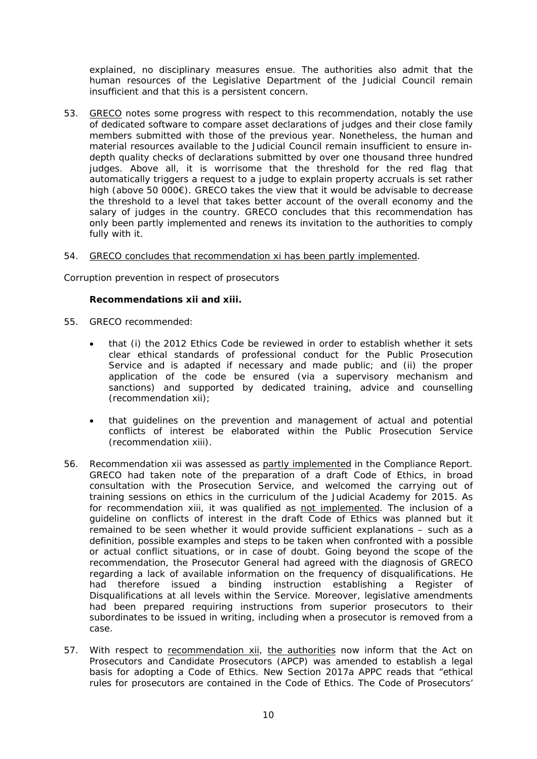explained, no disciplinary measures ensue. The authorities also admit that the human resources of the Legislative Department of the Judicial Council remain insufficient and that this is a persistent concern.

- 53. GRECO notes some progress with respect to this recommendation, notably the use of dedicated software to compare asset declarations of judges and their close family members submitted with those of the previous year. Nonetheless, the human and material resources available to the Judicial Council remain insufficient to ensure indepth quality checks of declarations submitted by over one thousand three hundred judges. Above all, it is worrisome that the threshold for the red flag that automatically triggers a request to a judge to explain property accruals is set rather high (above 50 000€). GRECO takes the view that it would be advisable to decrease the threshold to a level that takes better account of the overall economy and the salary of judges in the country. GRECO concludes that this recommendation has only been partly implemented and renews its invitation to the authorities to comply fully with it.
- 54. GRECO concludes that recommendation xi has been partly implemented.

*Corruption prevention in respect of prosecutors*

**Recommendations xii and xiii.**

- 55. *GRECO recommended:*
	- *that (i) the 2012 Ethics Code be reviewed in order to establish whether it sets clear ethical standards of professional conduct for the Public Prosecution Service and is adapted if necessary and made public; and (ii) the proper application of the code be ensured (via a supervisory mechanism and sanctions) and supported by dedicated training, advice and counselling (recommendation xii);*
	- *that guidelines on the prevention and management of actual and potential conflicts of interest be elaborated within the Public Prosecution Service (recommendation xiii).*
- 56. Recommendation xii was assessed as partly implemented in the Compliance Report. GRECO had taken note of the preparation of a draft Code of Ethics, in broad consultation with the Prosecution Service, and welcomed the carrying out of training sessions on ethics in the curriculum of the Judicial Academy for 2015. As for recommendation xiii, it was qualified as not implemented. The inclusion of a guideline on conflicts of interest in the draft Code of Ethics was planned but it remained to be seen whether it would provide sufficient explanations – such as a definition, possible examples and steps to be taken when confronted with a possible or actual conflict situations, or in case of doubt. Going beyond the scope of the recommendation, the Prosecutor General had agreed with the diagnosis of GRECO regarding a lack of available information on the frequency of disqualifications. He had therefore issued a binding instruction establishing a Register of Disqualifications at all levels within the Service. Moreover, legislative amendments had been prepared requiring instructions from superior prosecutors to their subordinates to be issued in writing, including when a prosecutor is removed from a case.
- 57. With respect to recommendation xii, the authorities now inform that the Act on Prosecutors and Candidate Prosecutors (APCP) was amended to establish a legal basis for adopting a Code of Ethics. New Section 2017a APPC reads that "ethical rules for prosecutors are contained in the Code of Ethics. The Code of Prosecutors'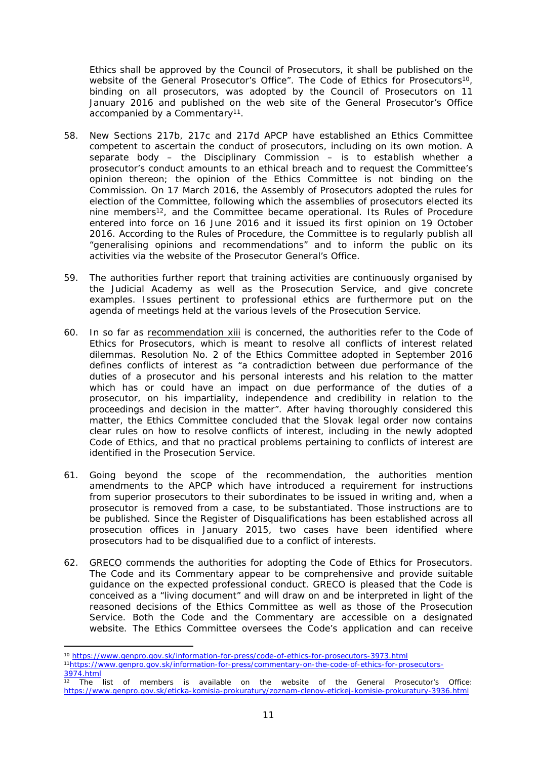Ethics shall be approved by the Council of Prosecutors, it shall be published on the website of the General Prosecutor's Office". The Code of Ethics for Prosecutors<sup>10</sup>, binding on all prosecutors, was adopted by the Council of Prosecutors on 11 January 2016 and published on the web site of the General Prosecutor's Office accompanied by a Commentary<sup>11</sup>.

- 58. New Sections 217b, 217c and 217d APCP have established an Ethics Committee competent to ascertain the conduct of prosecutors, including on its own motion. A separate body – the Disciplinary Commission – is to establish whether a prosecutor's conduct amounts to an ethical breach and to request the Committee's opinion thereon; the opinion of the Ethics Committee is not binding on the Commission. On 17 March 2016, the Assembly of Prosecutors adopted the rules for election of the Committee, following which the assemblies of prosecutors elected its nine members<sup>12</sup>, and the Committee became operational. Its Rules of Procedure entered into force on 16 June 2016 and it issued its first opinion on 19 October 2016. According to the Rules of Procedure, the Committee is to regularly publish all "generalising opinions and recommendations" and to inform the public on its activities via the website of the Prosecutor General's Office.
- 59. The authorities further report that training activities are continuously organised by the Judicial Academy as well as the Prosecution Service, and give concrete examples. Issues pertinent to professional ethics are furthermore put on the agenda of meetings held at the various levels of the Prosecution Service.
- 60. In so far as recommendation xiii is concerned, the authorities refer to the Code of Ethics for Prosecutors, which is meant to resolve all conflicts of interest related dilemmas. Resolution No. 2 of the Ethics Committee adopted in September 2016 defines conflicts of interest as "a contradiction between due performance of the duties of a prosecutor and his personal interests and his relation to the matter which has or could have an impact on due performance of the duties of a prosecutor, on his impartiality, independence and credibility in relation to the proceedings and decision in the matter". After having thoroughly considered this matter, the Ethics Committee concluded that the Slovak legal order now contains clear rules on how to resolve conflicts of interest, including in the newly adopted Code of Ethics, and that no practical problems pertaining to conflicts of interest are identified in the Prosecution Service.
- 61. Going beyond the scope of the recommendation, the authorities mention amendments to the APCP which have introduced a requirement for instructions from superior prosecutors to their subordinates to be issued in writing and, when a prosecutor is removed from a case, to be substantiated. Those instructions are to be published. Since the Register of Disqualifications has been established across all prosecution offices in January 2015, two cases have been identified where prosecutors had to be disqualified due to a conflict of interests.
- 62. GRECO commends the authorities for adopting the Code of Ethics for Prosecutors. The Code and its Commentary appear to be comprehensive and provide suitable guidance on the expected professional conduct. GRECO is pleased that the Code is conceived as a "living document" and will draw on and be interpreted in light of the reasoned decisions of the Ethics Committee as well as those of the Prosecution Service. Both the Code and the Commentary are accessible on a designated website. The Ethics Committee oversees the Code's application and can receive

<sup>10</sup> <https://www.genpro.gov.sk/information-for-press/code-of-ethics-for-prosecutors-3973.html> 11[https://www.genpro.gov.sk/information-for-press/commentary-on-the-code-of-ethics-for-prosecutors-](https://www.genpro.gov.sk/information-for-press/commentary-on-the-code-of-ethics-for-prosecutors-3974.html)[3974.html](https://www.genpro.gov.sk/information-for-press/commentary-on-the-code-of-ethics-for-prosecutors-3974.html)

 $\overline{12}$  The list of members is available on the website of the General Prosecutor's Office: <https://www.genpro.gov.sk/eticka-komisia-prokuratury/zoznam-clenov-etickej-komisie-prokuratury-3936.html>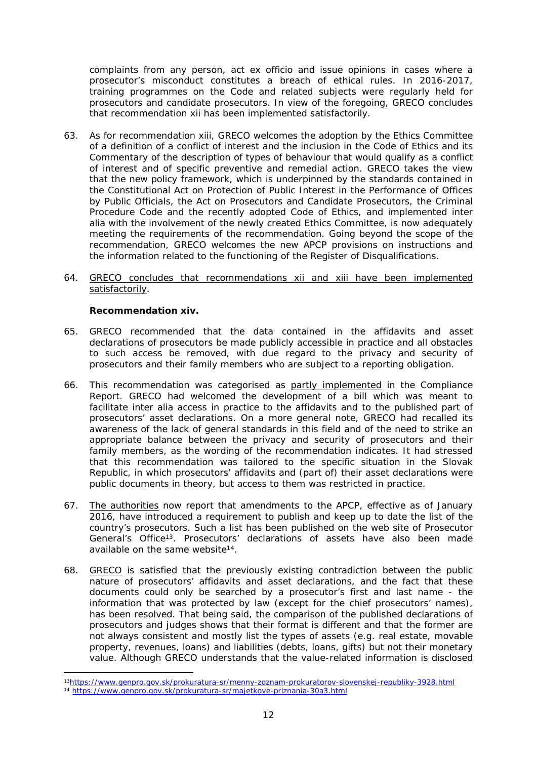complaints from any person, act *ex officio* and issue opinions in cases where a prosecutor's misconduct constitutes a breach of ethical rules. In 2016-2017, training programmes on the Code and related subjects were regularly held for prosecutors and candidate prosecutors. In view of the foregoing, GRECO concludes that recommendation xii has been implemented satisfactorily.

- 63. As for recommendation xiii, GRECO welcomes the adoption by the Ethics Committee of a definition of a conflict of interest and the inclusion in the Code of Ethics and its Commentary of the description of types of behaviour that would qualify as a conflict of interest and of specific preventive and remedial action. GRECO takes the view that the new policy framework, which is underpinned by the standards contained in the Constitutional Act on Protection of Public Interest in the Performance of Offices by Public Officials, the Act on Prosecutors and Candidate Prosecutors, the Criminal Procedure Code and the recently adopted Code of Ethics, and implemented *inter alia* with the involvement of the newly created Ethics Committee, is now adequately meeting the requirements of the recommendation. Going beyond the scope of the recommendation, GRECO welcomes the new APCP provisions on instructions and the information related to the functioning of the Register of Disqualifications.
- 64. GRECO concludes that recommendations xii and xiii have been implemented satisfactorily.

**Recommendation xiv.**

- 65. *GRECO recommended that the data contained in the affidavits and asset declarations of prosecutors be made publicly accessible in practice and all obstacles*  to such access be removed, with due regard to the privacy and security of *prosecutors and their family members who are subject to a reporting obligation.*
- 66. This recommendation was categorised as partly implemented in the Compliance Report. GRECO had welcomed the development of a bill which was meant to facilitate *inter alia* access in practice to the affidavits and to the published part of prosecutors' asset declarations. On a more general note, GRECO had recalled its awareness of the lack of general standards in this field and of the need to strike an appropriate balance between the privacy and security of prosecutors and their family members, as the wording of the recommendation indicates. It had stressed that this recommendation was tailored to the specific situation in the Slovak Republic, in which prosecutors' affidavits and (part of) their asset declarations were public documents in theory, but access to them was restricted in practice.
- 67. The authorities now report that amendments to the APCP, effective as of January 2016, have introduced a requirement to publish and keep up to date the list of the country's prosecutors. Such a list has been published on the web site of Prosecutor General's Office<sup>13</sup>. Prosecutors' declarations of assets have also been made available on the same website<sup>14</sup>.
- 68. GRECO is satisfied that the previously existing contradiction between the public nature of prosecutors' affidavits and asset declarations, and the fact that these documents could only be searched by a prosecutor's first and last name - the information that was protected by law (except for the chief prosecutors' names), has been resolved. That being said, the comparison of the *published* declarations of prosecutors and judges shows that their format is different and that the former are not always consistent and mostly list the types of assets (e.g. real estate, movable property, revenues, loans) and liabilities (debts, loans, gifts) but not their monetary value. Although GRECO understands that the value-related information is disclosed

<sup>13</sup><https://www.genpro.gov.sk/prokuratura-sr/menny-zoznam-prokuratorov-slovenskej-republiky-3928.html> <sup>14</sup> <https://www.genpro.gov.sk/prokuratura-sr/majetkove-priznania-30a3.html>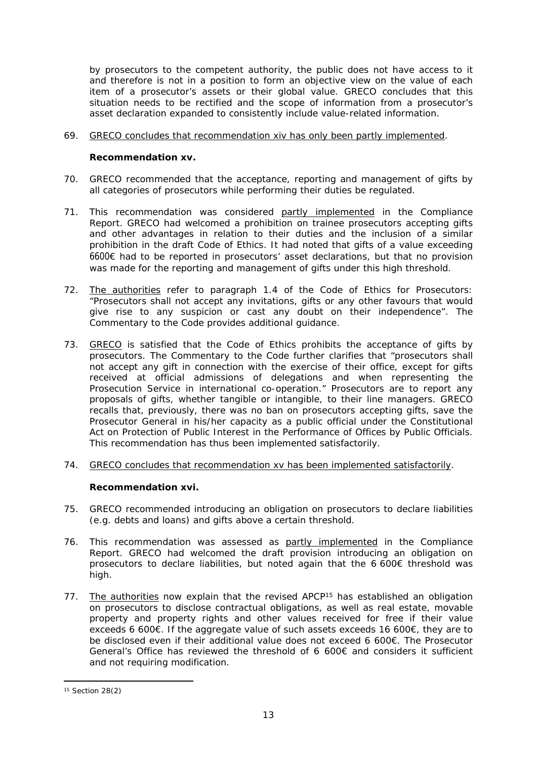by prosecutors to the competent authority, the public does not have access to it and therefore is not in a position to form an objective view on the value of each item of a prosecutor's assets or their global value. GRECO concludes that this situation needs to be rectified and the scope of information from a prosecutor's asset declaration expanded to consistently include value-related information.

## 69. GRECO concludes that recommendation xiv has only been partly implemented.

**Recommendation xv.**

- 70. *GRECO recommended that the acceptance, reporting and management of gifts by all categories of prosecutors while performing their duties be regulated.*
- 71. This recommendation was considered partly implemented in the Compliance Report. GRECO had welcomed a prohibition on trainee prosecutors accepting gifts and other advantages in relation to their duties and the inclusion of a similar prohibition in the draft Code of Ethics. It had noted that gifts of a value exceeding 6600€ had to be reported in prosecutors' asset declarations, but that no provision was made for the reporting and management of gifts under this high threshold.
- 72. The authorities refer to paragraph 1.4 of the Code of Ethics for Prosecutors: "Prosecutors shall not accept any invitations, gifts or any other favours that would give rise to any suspicion or cast any doubt on their independence". The Commentary to the Code provides additional guidance.
- 73. GRECO is satisfied that the Code of Ethics prohibits the acceptance of gifts by prosecutors. The Commentary to the Code further clarifies that "prosecutors shall not accept any gift *in connection with the exercise of their office*, except for gifts received at official admissions of delegations and when representing the Prosecution Service in international co-operation." Prosecutors are to report any proposals of gifts, whether tangible or intangible, to their line managers. GRECO recalls that, previously, there was no ban on prosecutors accepting gifts, save the Prosecutor General in his/her capacity as a public official under the Constitutional Act on Protection of Public Interest in the Performance of Offices by Public Officials. This recommendation has thus been implemented satisfactorily.
- 74. GRECO concludes that recommendation xv has been implemented satisfactorily.

**Recommendation xvi.**

- 75. *GRECO recommended introducing an obligation on prosecutors to declare liabilities (e.g. debts and loans) and gifts above a certain threshold.*
- 76. This recommendation was assessed as partly implemented in the Compliance Report. GRECO had welcomed the draft provision introducing an obligation on prosecutors to declare liabilities, but noted again that the 6 600 $\epsilon$  threshold was high.
- 77. The authorities now explain that the revised APCP<sup>15</sup> has established an obligation on prosecutors to disclose contractual obligations, as well as real estate, movable property and property rights and other values received for free if their value exceeds 6 600€. If the aggregate value of such assets exceeds 16 600€, they are to be disclosed even if their additional value does not exceed 6 600€. The Prosecutor General's Office has reviewed the threshold of 6 600€ and considers it sufficient and not requiring modification.

<sup>15</sup> Section 28(2)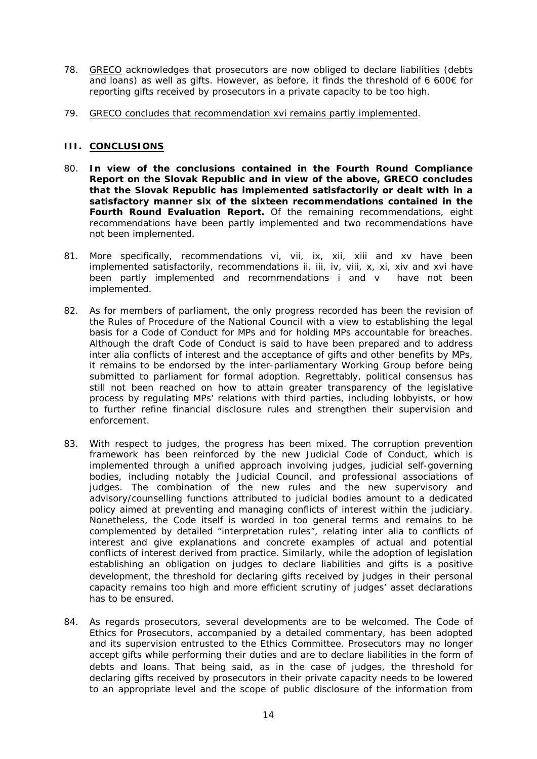- 78. GRECO acknowledges that prosecutors are now obliged to declare liabilities (debts and loans) as well as gifts. However, as before, it finds the threshold of 6 600€ for reporting gifts received by prosecutors in a private capacity to be too high.
- 79. GRECO concludes that recommendation xvi remains partly implemented.

#### **III. CONCLUSIONS**

- 80. **In view of the conclusions contained in the Fourth Round Compliance Report on the Slovak Republic and in view of the above, GRECO concludes that the Slovak Republic has implemented satisfactorily or dealt with in a satisfactory manner six of the sixteen recommendations contained in the Fourth Round Evaluation Report.** Of the remaining recommendations, eight recommendations have been partly implemented and two recommendations have not been implemented.
- 81. More specifically, recommendations vi, vii, ix, xii, xiii and xv have been implemented satisfactorily, recommendations ii, iii, iv, viii, x, xi, xiv and xvi have been partly implemented and recommendations i and v have not been implemented.
- 82. As for members of parliament, the only progress recorded has been the revision of the Rules of Procedure of the National Council with a view to establishing the legal basis for a Code of Conduct for MPs and for holding MPs accountable for breaches. Although the draft Code of Conduct is said to have been prepared and to address *inter alia* conflicts of interest and the acceptance of gifts and other benefits by MPs, it remains to be endorsed by the inter-parliamentary Working Group before being submitted to parliament for formal adoption. Regrettably, political consensus has still not been reached on how to attain greater transparency of the legislative process by regulating MPs' relations with third parties, including lobbyists, or how to further refine financial disclosure rules and strengthen their supervision and enforcement.
- 83. With respect to judges, the progress has been mixed. The corruption prevention framework has been reinforced by the new Judicial Code of Conduct, which is implemented through a unified approach involving judges, judicial self-governing bodies, including notably the Judicial Council, and professional associations of judges. The combination of the new rules and the new supervisory and advisory/counselling functions attributed to judicial bodies amount to a dedicated policy aimed at preventing and managing conflicts of interest within the judiciary. Nonetheless, the Code itself is worded in too general terms and remains to be complemented by detailed "interpretation rules", relating *inter alia* to conflicts of interest and give explanations and concrete examples of actual and potential conflicts of interest derived from practice. Similarly, while the adoption of legislation establishing an obligation on judges to declare liabilities and gifts is a positive development, the threshold for declaring gifts received by judges in their personal capacity remains too high and more efficient scrutiny of judges' asset declarations has to be ensured.
- 84. As regards prosecutors, several developments are to be welcomed. The Code of Ethics for Prosecutors, accompanied by a detailed commentary, has been adopted and its supervision entrusted to the Ethics Committee. Prosecutors may no longer accept gifts while performing their duties and are to declare liabilities in the form of debts and loans. That being said, as in the case of judges, the threshold for declaring gifts received by prosecutors in their private capacity needs to be lowered to an appropriate level and the scope of public disclosure of the information from